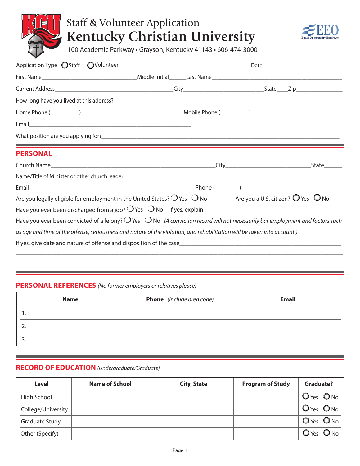# Staff & Volunteer Application **Kentucky Christian University**



100 Academic Parkway • Grayson, Kentucky 41143 • 606-474-3000

| Application Type ◯Staff ◯Volunteer                                                                                                               |  |  |
|--------------------------------------------------------------------------------------------------------------------------------------------------|--|--|
|                                                                                                                                                  |  |  |
|                                                                                                                                                  |  |  |
|                                                                                                                                                  |  |  |
|                                                                                                                                                  |  |  |
|                                                                                                                                                  |  |  |
|                                                                                                                                                  |  |  |
|                                                                                                                                                  |  |  |
| <b>PERSONAL</b>                                                                                                                                  |  |  |
|                                                                                                                                                  |  |  |
|                                                                                                                                                  |  |  |
|                                                                                                                                                  |  |  |
| Are you legally eligible for employment in the United States? $O$ Yes $\ O$ No Are you a U.S. citizen? $O$ Yes $\ O$ No                          |  |  |
|                                                                                                                                                  |  |  |
| Have you ever been convicted of a felony? $\bigcirc$ Yes $\bigcirc$ No (A conviction record will not necessarily bar employment and factors such |  |  |
| as age and time of the offense, seriousness and nature of the violation, and rehabilitation will be taken into account.)                         |  |  |
|                                                                                                                                                  |  |  |

## **PERSONAL REFERENCES** *(No former employers or relatives please)*

| <b>Name</b> | <b>Phone</b> (Include area code) | <b>Email</b> |
|-------------|----------------------------------|--------------|
| . .         |                                  |              |
|             |                                  |              |
|             |                                  |              |

\_\_\_\_\_\_\_\_\_\_\_\_\_\_\_\_\_\_\_\_\_\_\_\_\_\_\_\_\_\_\_\_\_\_\_\_\_\_\_\_\_\_\_\_\_\_\_\_\_\_\_\_\_\_\_\_\_\_\_\_\_\_\_\_\_\_\_\_\_\_\_\_\_\_\_\_\_\_\_\_\_\_\_\_\_\_\_\_\_\_\_\_\_\_\_\_\_\_\_\_\_\_\_\_\_\_\_

#### **RECORD OF EDUCATION** *(Undergraduate/Graduate)*

| Level              | <b>Name of School</b> | <b>City, State</b> | <b>Program of Study</b> | Graduate?      |
|--------------------|-----------------------|--------------------|-------------------------|----------------|
| High School        |                       |                    |                         | $O$ Yes $O$ No |
| College/University |                       |                    |                         | $O$ Yes $O$ No |
| Graduate Study     |                       |                    |                         | O Yes O No     |
| Other (Specify)    |                       |                    |                         | OYes ONo       |